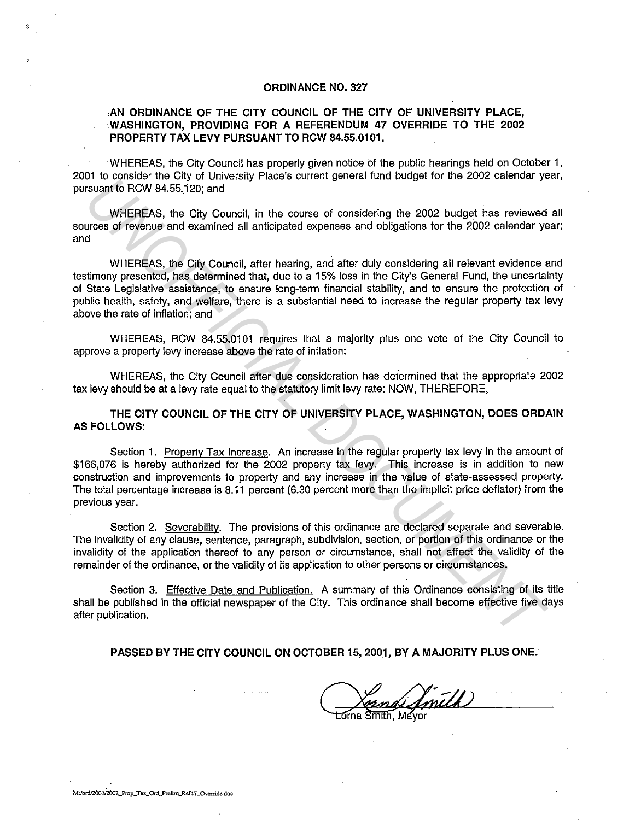## **ORDINANCE NO. 327**

## **,AN ORDINANCE OF THE CITY COUNCIL OF THE CITY OF UNIVERSITY PLACE, WASHINGTON, PROVIDING FOR A REFERENDUM 47 OVERRIDE TO THE 2002 PROPERTY TAX LEVY PURSUANT TO RCW 84.55.0101.**

WHEREAS, the City Council has properly given notice of the public hearings held on October 1, 2001 to consider the City of University Place's current general fund budget for the 2002 calendar year, pursuant to RCW 84.55.120; and

WHEREAS, the City Council, in the course of considering the 2002 budget has reviewed all sources of revenue and examined all anticipated expenses and obligations for the 2002 calendar year; and

WHEREAS, the City Council, after hearing, and after duly considering all relevant evidence and testimony presented, has determined that, due to a 15% loss in the City's General Fund, the uncertainty of State Legislative assistance, to ensure long-term financial stability, and to ensure the protection of public health, safety, and welfare, there is a substantial need to increase the regular property tax levy above the rate of inflation; and

WHEREAS, RCW 84.55.0101 requires that a majority plus one vote of the City Council to approve a property levy increase above the rate of inflation:

WHEREAS, the City Council after due consideration has determined that the appropriate 2002 tax levy should be at a levy rate equal to the statutory limit levy rate: NOW, THEREFORE,

**THE CITY COUNCIL OF THE CITY OF UNIVERSITY PLACE, WASHINGTON, DOES ORDAIN AS FOLLOWS:** 

Section 1. Property Tax Increase. An increase in the regular property tax levy in the amount of \$166,076 is hereby authorized for the 2002 property tax levy. This increase is in addition to new construction and improvements to property and any increase in the value of state-assessed property. · The total percentage increase is 8.11 percent (6.30 percent more than the implicit price deflator) from the previous year. or uncertainties Fig. 2013. The CITY Council, in the course of considering the 2002 budget has reviewed<br>
WHEREAS, the City Council, in the course of considering the 2002 budget has reviewed<br>
dwHEREAS, the City Council, aft

Section 2. Severability. The provisions of this ordinance are declared separate and severable. The invalidity of any clause, sentence, paragraph, subdivision, section, or portion of this ordinance or the invalidity of the application thereof to any person or circumstance, shall not affect the validity of the remainder of the ordinance, or the validity of its application to other persons or circumstances.

Section 3. Effective Date and Publication. A summary of this Ordinance consisting of its title shall be published in the official newspaper of the City. This ordinance shall become effective five days after publication.

**PASSED BY THE CITY COUNCIL ON OCTOBER 15, 2001, BY A MAJORITY PLUS ONE.** 

Smith  $\overline{\text{ma}}$   $\overline{\text{Smith}}$ ,  $\overline{\text{Mav}}$ 

'